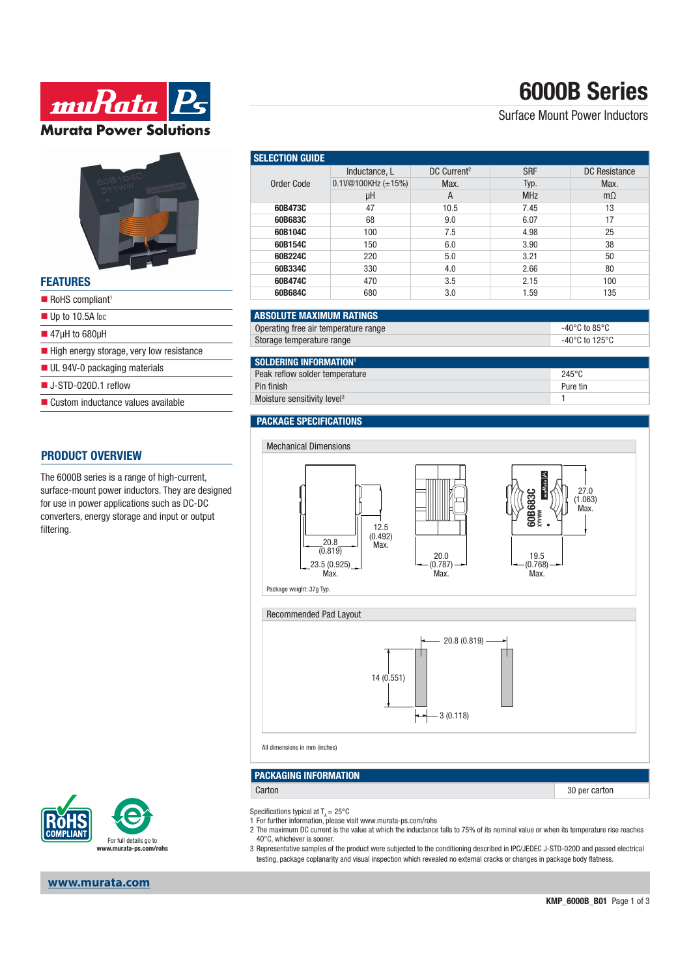# **6000B Series**

# Surface Mount Power Inductors

| <b>STATISTICS</b><br><b>FEATURES</b> |  |
|--------------------------------------|--|
| RoHS compliant <sup>1</sup>          |  |
|                                      |  |
| $\blacksquare$ Up to 10.5A lpc       |  |

**ww.Rata** 

**Murata Power Solutions** 

- 47μH to 680μH
- 
- $\blacksquare$  High energy storage, very low resistance
- UL 94V-0 packaging materials
- J-STD-020D.1 reflow
- Custom inductance values available

### **PRODUCT OVERVIEW**

The 6000B series is a range of high-current, surface-mount power inductors. They are designed for use in power applications such as DC-DC converters, energy storage and input or output filtering.

| <b>SELECTION GUIDE</b> |                          |                         |            |               |  |
|------------------------|--------------------------|-------------------------|------------|---------------|--|
| Order Code             | Inductance, L            | DC Current <sup>2</sup> | <b>SRF</b> | DC Resistance |  |
|                        | 0.1V@100KHz $(\pm 15\%)$ | Max.                    | Typ.       | Max.          |  |
|                        | μH                       | A                       | <b>MHz</b> | $m\Omega$     |  |
| 60B473C                | 47                       | 10.5                    | 7.45       | 13            |  |
| 60B683C                | 68                       | 9.0                     | 6.07       | 17            |  |
| 60B104C                | 100                      | 7.5                     | 4.98       | 25            |  |
| 60B154C                | 150                      | 6.0                     | 3.90       | 38            |  |
| 60B224C                | 220                      | 5.0                     | 3.21       | 50            |  |
| 60B334C                | 330                      | 4.0                     | 2.66       | 80            |  |
| 60B474C                | 470                      | 3.5                     | 2.15       | 100           |  |
| 60B684C                | 680                      | 3.0                     | 1.59       | 135           |  |

### **ABSOLUTE MAXIMUM RATINGS**

| Operating free air temperature range | -40°C to 85°C  |
|--------------------------------------|----------------|
| Storage temperature range            | -40°C to 125°C |

### **SOLDERING INFORMATION<sup>1</sup>**

| I YYEYENNA HU YINNI YIY                 |                 |
|-----------------------------------------|-----------------|
| Peak reflow solder temperature          | $245^{\circ}$ C |
| Pin finish                              | Pure tin        |
| Moisture sensitivity level <sup>3</sup> |                 |
|                                         |                 |

# **PACKAGE SPECIFICATIONS**

All dimensions in mm (inches)

Specifications typical at  $T_a = 25^{\circ}$ C

**PACKAGING INFORMATION**



Carton 30 per carton 30 per carton 30 per carton 30 per carton 30 per carton 30 per carton 30 per carton 30 per carton 30 per carton 30 per carton 30 per carton 30 per carton 30 per carton 30 per carton 30 per carton 30 pe

2 The maximum DC current is the value at which the inductance falls to 75% of its nominal value or when its temperature rise reaches

 $-3(0.118)$ 

For full details go to **www.murata-ps.com/rohs**

### 40°C, whichever is sooner. 3 Representative samples of the product were subjected to the conditioning described in IPC/JEDEC J-STD-020D and passed electrical testing, package coplanarity and visual inspection which revealed no external cracks or changes in package body flatness.

1 For further information, please visit www.murata-ps.com/rohs

## **www.murata.com**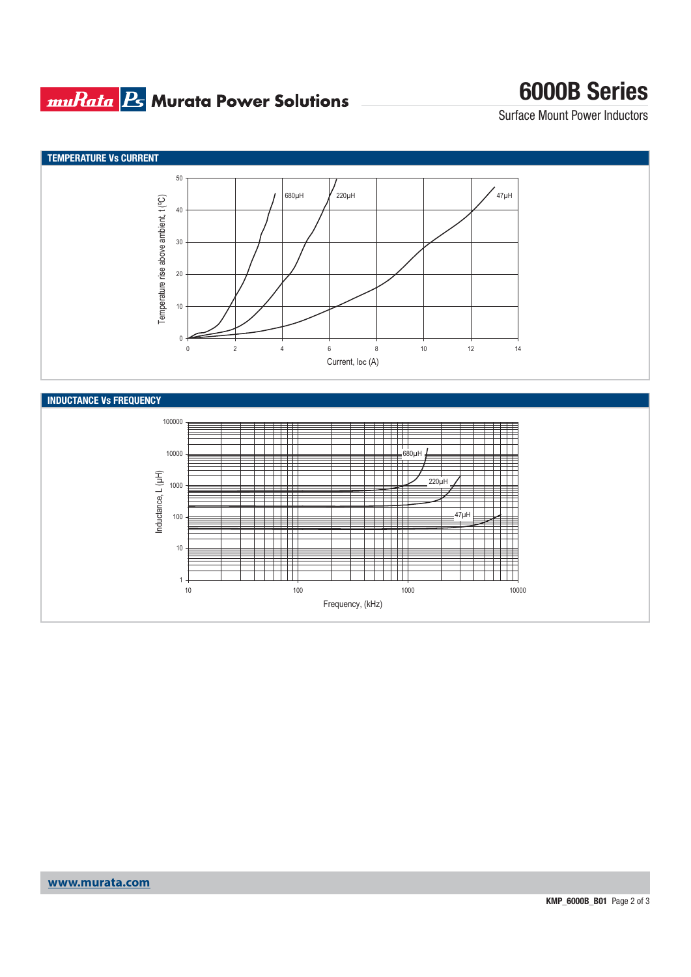# **muRata Bs** Murata Power Solutions

# **6000B Series**

Surface Mount Power Inductors



Frequency, (kHz)